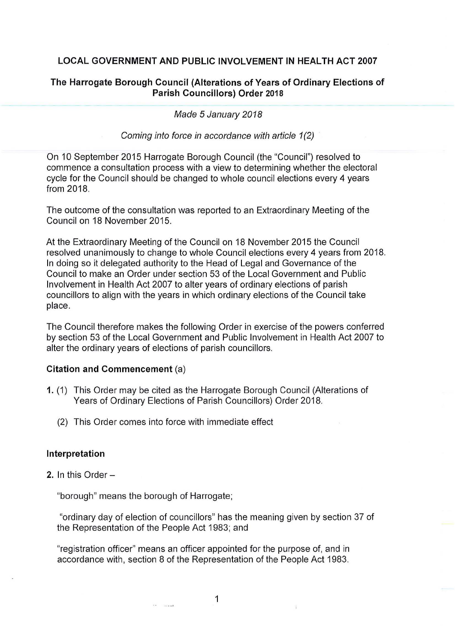## **LOCAL GOVERNMENT AND PUBLIC INVOLVEMENT IN HEALTH ACT 2007**

### **The Harrogate Borough Council (Alterations of Years of Ordinary Elections of Parish Councillors) Order 2018**

Made 5 January 2018

Coming into force in accordance with article 1(2)

On 10 September 2015 Harrogate Borough Council (the "Council") resolved to commence a consultation process with a view to determining whether the electoral cycle for the Council should be changed to whole council elections every 4 years from 2018.

The outcome of the consultation was reported to an Extraordinary Meeting of the Council on 18 November 2015.

At the Extraordinary Meeting of the Council on 18 November 2015 the Council resolved unanimously to change to whole Council elections every 4 years from 2018. In doing so it delegated authority to the Head of Legal and Governance of the Council to make an Order under section 53 of the Local Government and Public Involvement in Health Act 2007 to alter years of ordinary elections of parish councillors to align with the years in which ordinary elections of the Council take place.

The Council therefore makes the following Order in exercise of the powers conferred by section 53 of the Local Government and Public Involvement in Health Act 2007 to alter the ordinary years of elections of parish councillors.

#### **Citation and Commencement** (a)

- **1.** (1) This Order may be cited as the Harrogate Borough Council (Alterations of Years of Ordinary Elections of Parish Councillors) Order 2018.
	- (2) This Order comes into force with immediate effect

#### **Interpretation**

**2.** In this Order

"borough" means the borough of Harrogate;

**All Services** 

"ordinary day of election of councillors" has the meaning given by section 37 of the Representation of the People Act 1983; and

"registration officer" means an officer appointed for the purpose of, and in accordance with, section 8 of the Representation of the People Act 1983.

1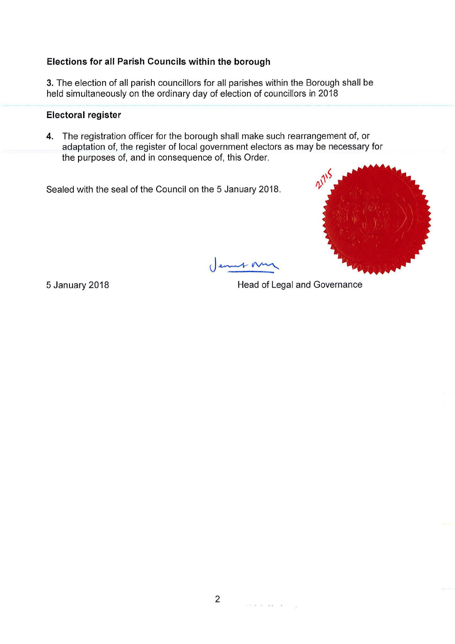# **Elections for all Parish Councils within the borough**

3. The election of all parish councillors for all parishes within the Borough shall be held simultaneously on the ordinary day of election of councillors in 2018

## **Electoral register**

**4.** The registration officer for the borough shall make such rearrangement of, or adaptation of, the register of local government electors as may be necessary for the purposes of, and in consequence of, this Order.

Sealed with the seal of the Council on the 5 January 2018.



( enut N

5 January 2018 **19 Sepany 2018 Head of Legal and Governance** 

 $\mathcal{O}(\sqrt{2\pi})$  and  $\mathcal{O}(\sqrt{2\pi})$ 

 $\mathcal{L}$